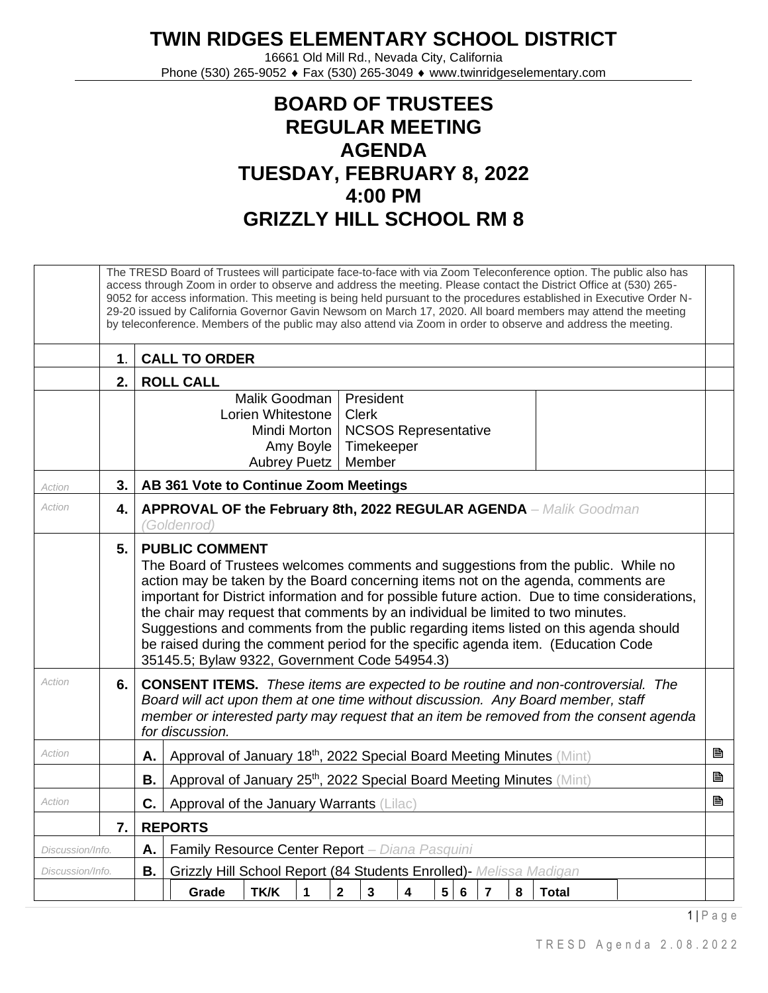## **TWIN RIDGES ELEMENTARY SCHOOL DISTRICT**

16661 Old Mill Rd., Nevada City, California Phone (530) 265-9052 ♦ Fax (530) 265-3049 ♦ www.twinridgeselementary.com

## **BOARD OF TRUSTEES REGULAR MEETING AGENDA TUESDAY, FEBRUARY 8, 2022 4:00 PM GRIZZLY HILL SCHOOL RM 8**

|                  |                |                                                                                                                                                                                                                                                                                                                                                                                                                                                                                                                                                                                                                     | The TRESD Board of Trustees will participate face-to-face with via Zoom Teleconference option. The public also has<br>access through Zoom in order to observe and address the meeting. Please contact the District Office at (530) 265-<br>9052 for access information. This meeting is being held pursuant to the procedures established in Executive Order N-<br>29-20 issued by California Governor Gavin Newsom on March 17, 2020. All board members may attend the meeting<br>by teleconference. Members of the public may also attend via Zoom in order to observe and address the meeting. |                                                                                 |              |                |                                                   |                             |                |                 |                |   |              |  |  |  |   |
|------------------|----------------|---------------------------------------------------------------------------------------------------------------------------------------------------------------------------------------------------------------------------------------------------------------------------------------------------------------------------------------------------------------------------------------------------------------------------------------------------------------------------------------------------------------------------------------------------------------------------------------------------------------------|---------------------------------------------------------------------------------------------------------------------------------------------------------------------------------------------------------------------------------------------------------------------------------------------------------------------------------------------------------------------------------------------------------------------------------------------------------------------------------------------------------------------------------------------------------------------------------------------------|---------------------------------------------------------------------------------|--------------|----------------|---------------------------------------------------|-----------------------------|----------------|-----------------|----------------|---|--------------|--|--|--|---|
|                  | 1 <sub>1</sub> | <b>CALL TO ORDER</b><br><b>ROLL CALL</b>                                                                                                                                                                                                                                                                                                                                                                                                                                                                                                                                                                            |                                                                                                                                                                                                                                                                                                                                                                                                                                                                                                                                                                                                   |                                                                                 |              |                |                                                   |                             |                |                 |                |   |              |  |  |  |   |
|                  | 2.             |                                                                                                                                                                                                                                                                                                                                                                                                                                                                                                                                                                                                                     |                                                                                                                                                                                                                                                                                                                                                                                                                                                                                                                                                                                                   |                                                                                 |              |                |                                                   |                             |                |                 |                |   |              |  |  |  |   |
|                  |                |                                                                                                                                                                                                                                                                                                                                                                                                                                                                                                                                                                                                                     |                                                                                                                                                                                                                                                                                                                                                                                                                                                                                                                                                                                                   | Malik Goodman<br>Lorien Whitestone<br>Mindi Morton<br>Amy Boyle<br>Aubrey Puetz |              |                | President<br><b>Clerk</b><br>Timekeeper<br>Member | <b>NCSOS Representative</b> |                |                 |                |   |              |  |  |  |   |
| Action           | 3.1            |                                                                                                                                                                                                                                                                                                                                                                                                                                                                                                                                                                                                                     | AB 361 Vote to Continue Zoom Meetings                                                                                                                                                                                                                                                                                                                                                                                                                                                                                                                                                             |                                                                                 |              |                |                                                   |                             |                |                 |                |   |              |  |  |  |   |
| Action           | 4.             |                                                                                                                                                                                                                                                                                                                                                                                                                                                                                                                                                                                                                     | APPROVAL OF the February 8th, 2022 REGULAR AGENDA - Malik Goodman<br>(Goldenrod)                                                                                                                                                                                                                                                                                                                                                                                                                                                                                                                  |                                                                                 |              |                |                                                   |                             |                |                 |                |   |              |  |  |  |   |
|                  | 5.             | <b>PUBLIC COMMENT</b><br>The Board of Trustees welcomes comments and suggestions from the public. While no<br>action may be taken by the Board concerning items not on the agenda, comments are<br>important for District information and for possible future action. Due to time considerations,<br>the chair may request that comments by an individual be limited to two minutes.<br>Suggestions and comments from the public regarding items listed on this agenda should<br>be raised during the comment period for the specific agenda item. (Education Code<br>35145.5; Bylaw 9322, Government Code 54954.3) |                                                                                                                                                                                                                                                                                                                                                                                                                                                                                                                                                                                                   |                                                                                 |              |                |                                                   |                             |                |                 |                |   |              |  |  |  |   |
| Action           | 6.             |                                                                                                                                                                                                                                                                                                                                                                                                                                                                                                                                                                                                                     | <b>CONSENT ITEMS.</b> These items are expected to be routine and non-controversial. The<br>Board will act upon them at one time without discussion. Any Board member, staff<br>member or interested party may request that an item be removed from the consent agenda<br>for discussion.                                                                                                                                                                                                                                                                                                          |                                                                                 |              |                |                                                   |                             |                |                 |                |   |              |  |  |  |   |
| Action           |                | А.                                                                                                                                                                                                                                                                                                                                                                                                                                                                                                                                                                                                                  | Approval of January 18th, 2022 Special Board Meeting Minutes (Mint)                                                                                                                                                                                                                                                                                                                                                                                                                                                                                                                               |                                                                                 |              |                |                                                   |                             |                |                 |                |   |              |  |  |  | P |
|                  |                | В.                                                                                                                                                                                                                                                                                                                                                                                                                                                                                                                                                                                                                  | P<br>Approval of January 25th, 2022 Special Board Meeting Minutes (Mint)                                                                                                                                                                                                                                                                                                                                                                                                                                                                                                                          |                                                                                 |              |                |                                                   |                             |                |                 |                |   |              |  |  |  |   |
| Action           |                | C.                                                                                                                                                                                                                                                                                                                                                                                                                                                                                                                                                                                                                  | P<br>Approval of the January Warrants (Lilac)                                                                                                                                                                                                                                                                                                                                                                                                                                                                                                                                                     |                                                                                 |              |                |                                                   |                             |                |                 |                |   |              |  |  |  |   |
|                  | 7.1            |                                                                                                                                                                                                                                                                                                                                                                                                                                                                                                                                                                                                                     | <b>REPORTS</b>                                                                                                                                                                                                                                                                                                                                                                                                                                                                                                                                                                                    |                                                                                 |              |                |                                                   |                             |                |                 |                |   |              |  |  |  |   |
| Discussion/Info. |                | Α.                                                                                                                                                                                                                                                                                                                                                                                                                                                                                                                                                                                                                  | Family Resource Center Report - Diana Pasquini                                                                                                                                                                                                                                                                                                                                                                                                                                                                                                                                                    |                                                                                 |              |                |                                                   |                             |                |                 |                |   |              |  |  |  |   |
| Discussion/Info. |                | <b>B.</b>                                                                                                                                                                                                                                                                                                                                                                                                                                                                                                                                                                                                           | Grizzly Hill School Report (84 Students Enrolled)- Melissa Madigan                                                                                                                                                                                                                                                                                                                                                                                                                                                                                                                                |                                                                                 |              |                |                                                   |                             |                |                 |                |   |              |  |  |  |   |
|                  |                |                                                                                                                                                                                                                                                                                                                                                                                                                                                                                                                                                                                                                     | Grade                                                                                                                                                                                                                                                                                                                                                                                                                                                                                                                                                                                             | TK/K                                                                            | $\mathbf{1}$ | $\overline{2}$ | $\mathbf{3}$                                      | $\overline{\mathbf{4}}$     | 5 <sup>5</sup> | $6\phantom{1}6$ | $\overline{7}$ | 8 | <b>Total</b> |  |  |  |   |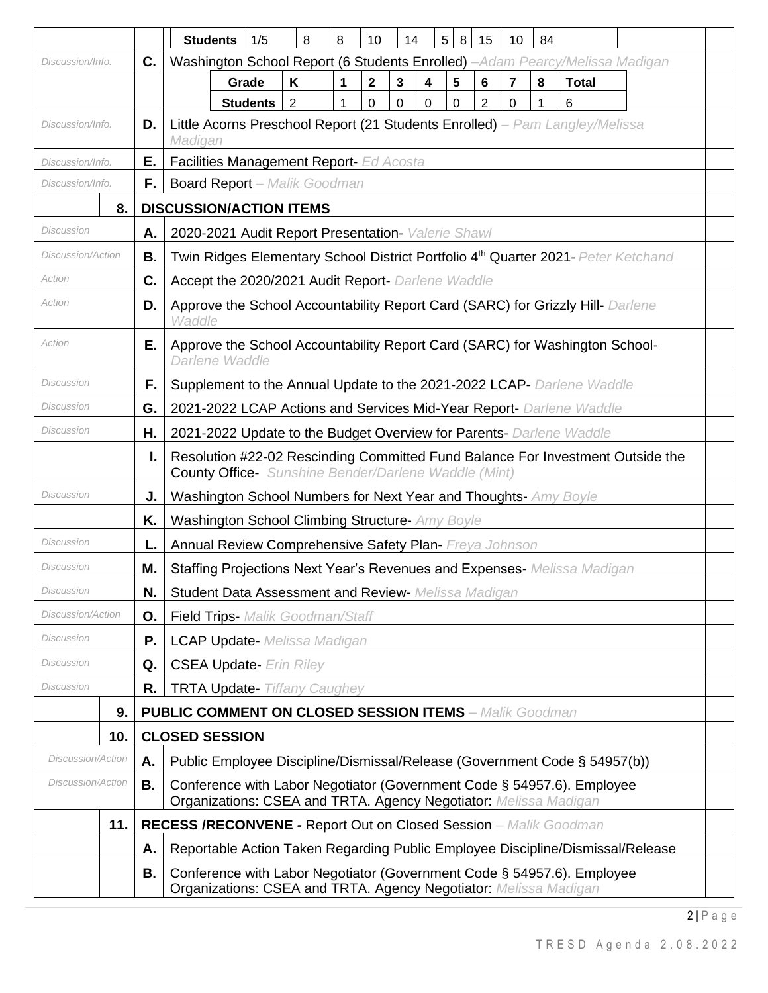|                          |     |    | <b>Students</b>                                                                                                                               | 1/5                                                                                                                                        | 8              | 8 | 10           | 14 |   | 5 <sup>1</sup><br>8 | 15 | 10 | 84 |              |  |  |  |  |  |  |  |  |
|--------------------------|-----|----|-----------------------------------------------------------------------------------------------------------------------------------------------|--------------------------------------------------------------------------------------------------------------------------------------------|----------------|---|--------------|----|---|---------------------|----|----|----|--------------|--|--|--|--|--|--|--|--|
| Discussion/Info.         |     | C. | Washington School Report (6 Students Enrolled) -Adam Pearcy/Melissa Madigan                                                                   |                                                                                                                                            |                |   |              |    |   |                     |    |    |    |              |  |  |  |  |  |  |  |  |
|                          |     |    |                                                                                                                                               | Grade                                                                                                                                      | Κ              | 1 | $\mathbf{2}$ | 3  | 4 | 5                   | 6  | 7  | 8  | <b>Total</b> |  |  |  |  |  |  |  |  |
|                          |     |    |                                                                                                                                               | <b>Students</b>                                                                                                                            | $\overline{2}$ | 1 | 0            | 0  | 0 | 0                   | 2  | 0  | 1  | 6            |  |  |  |  |  |  |  |  |
| Discussion/Info.         |     | D. | Little Acorns Preschool Report (21 Students Enrolled) - Pam Langley/Melissa<br>Madigan                                                        |                                                                                                                                            |                |   |              |    |   |                     |    |    |    |              |  |  |  |  |  |  |  |  |
| Discussion/Info.         |     | Е. | Facilities Management Report- Ed Acosta                                                                                                       |                                                                                                                                            |                |   |              |    |   |                     |    |    |    |              |  |  |  |  |  |  |  |  |
| Discussion/Info.         |     | F. | <b>Board Report</b> - Malik Goodman                                                                                                           |                                                                                                                                            |                |   |              |    |   |                     |    |    |    |              |  |  |  |  |  |  |  |  |
|                          | 8.  |    | <b>DISCUSSION/ACTION ITEMS</b>                                                                                                                |                                                                                                                                            |                |   |              |    |   |                     |    |    |    |              |  |  |  |  |  |  |  |  |
| Discussion               |     | Α. | 2020-2021 Audit Report Presentation- Valerie Shawl                                                                                            |                                                                                                                                            |                |   |              |    |   |                     |    |    |    |              |  |  |  |  |  |  |  |  |
| Discussion/Action        |     | В. | Twin Ridges Elementary School District Portfolio 4 <sup>th</sup> Quarter 2021- Peter Ketchand                                                 |                                                                                                                                            |                |   |              |    |   |                     |    |    |    |              |  |  |  |  |  |  |  |  |
| Action                   |     | C. | Accept the 2020/2021 Audit Report- Darlene Waddle                                                                                             |                                                                                                                                            |                |   |              |    |   |                     |    |    |    |              |  |  |  |  |  |  |  |  |
| Action                   |     | D. | Approve the School Accountability Report Card (SARC) for Grizzly Hill- Darlene<br>Waddle                                                      |                                                                                                                                            |                |   |              |    |   |                     |    |    |    |              |  |  |  |  |  |  |  |  |
| Action                   |     | Е. | Approve the School Accountability Report Card (SARC) for Washington School-<br>Darlene Waddle                                                 |                                                                                                                                            |                |   |              |    |   |                     |    |    |    |              |  |  |  |  |  |  |  |  |
| Discussion               |     | F. | Supplement to the Annual Update to the 2021-2022 LCAP- Darlene Waddle                                                                         |                                                                                                                                            |                |   |              |    |   |                     |    |    |    |              |  |  |  |  |  |  |  |  |
| Discussion               |     | G. |                                                                                                                                               |                                                                                                                                            |                |   |              |    |   |                     |    |    |    |              |  |  |  |  |  |  |  |  |
| Discussion               |     | Η. |                                                                                                                                               | 2021-2022 LCAP Actions and Services Mid-Year Report- Darlene Waddle<br>2021-2022 Update to the Budget Overview for Parents- Darlene Waddle |                |   |              |    |   |                     |    |    |    |              |  |  |  |  |  |  |  |  |
|                          |     | ı. | Resolution #22-02 Rescinding Committed Fund Balance For Investment Outside the<br><b>County Office-</b> Sunshine Bender/Darlene Waddle (Mint) |                                                                                                                                            |                |   |              |    |   |                     |    |    |    |              |  |  |  |  |  |  |  |  |
| Discussion               |     | J. | Washington School Numbers for Next Year and Thoughts- Amy Boyle                                                                               |                                                                                                                                            |                |   |              |    |   |                     |    |    |    |              |  |  |  |  |  |  |  |  |
|                          |     | Κ. | Washington School Climbing Structure- Amy Boyle                                                                                               |                                                                                                                                            |                |   |              |    |   |                     |    |    |    |              |  |  |  |  |  |  |  |  |
| Discussion               |     | L. | Annual Review Comprehensive Safety Plan- Freya Johnson                                                                                        |                                                                                                                                            |                |   |              |    |   |                     |    |    |    |              |  |  |  |  |  |  |  |  |
| Discussion               |     | Μ. | Staffing Projections Next Year's Revenues and Expenses- Melissa Madigan                                                                       |                                                                                                                                            |                |   |              |    |   |                     |    |    |    |              |  |  |  |  |  |  |  |  |
| <b>Discussion</b>        |     | N. | <b>Student Data Assessment and Review-</b> Melissa Madigan                                                                                    |                                                                                                                                            |                |   |              |    |   |                     |    |    |    |              |  |  |  |  |  |  |  |  |
| <b>Discussion/Action</b> |     | 0. | Field Trips- Malik Goodman/Staff                                                                                                              |                                                                                                                                            |                |   |              |    |   |                     |    |    |    |              |  |  |  |  |  |  |  |  |
| Discussion               |     | Ρ. | <b>LCAP Update-</b> Melissa Madigan                                                                                                           |                                                                                                                                            |                |   |              |    |   |                     |    |    |    |              |  |  |  |  |  |  |  |  |
| Discussion               |     | Q. | <b>CSEA Update- Erin Riley</b>                                                                                                                |                                                                                                                                            |                |   |              |    |   |                     |    |    |    |              |  |  |  |  |  |  |  |  |
| Discussion               |     | R. | <b>TRTA Update- Tiffany Caughey</b>                                                                                                           |                                                                                                                                            |                |   |              |    |   |                     |    |    |    |              |  |  |  |  |  |  |  |  |
|                          | 9.  |    | <b>PUBLIC COMMENT ON CLOSED SESSION ITEMS - Malik Goodman</b>                                                                                 |                                                                                                                                            |                |   |              |    |   |                     |    |    |    |              |  |  |  |  |  |  |  |  |
|                          | 10. |    | <b>CLOSED SESSION</b>                                                                                                                         |                                                                                                                                            |                |   |              |    |   |                     |    |    |    |              |  |  |  |  |  |  |  |  |
| <b>Discussion/Action</b> |     | Α. | Public Employee Discipline/Dismissal/Release (Government Code § 54957(b))                                                                     |                                                                                                                                            |                |   |              |    |   |                     |    |    |    |              |  |  |  |  |  |  |  |  |
| <b>Discussion/Action</b> |     | В. | Conference with Labor Negotiator (Government Code § 54957.6). Employee<br>Organizations: CSEA and TRTA. Agency Negotiator: Melissa Madigan    |                                                                                                                                            |                |   |              |    |   |                     |    |    |    |              |  |  |  |  |  |  |  |  |
|                          | 11. |    | <b>RECESS /RECONVENE - Report Out on Closed Session</b> - Malik Goodman                                                                       |                                                                                                                                            |                |   |              |    |   |                     |    |    |    |              |  |  |  |  |  |  |  |  |
|                          |     | Α. | Reportable Action Taken Regarding Public Employee Discipline/Dismissal/Release                                                                |                                                                                                                                            |                |   |              |    |   |                     |    |    |    |              |  |  |  |  |  |  |  |  |
|                          |     | В. | Conference with Labor Negotiator (Government Code § 54957.6). Employee<br>Organizations: CSEA and TRTA. Agency Negotiator: Melissa Madigan    |                                                                                                                                            |                |   |              |    |   |                     |    |    |    |              |  |  |  |  |  |  |  |  |